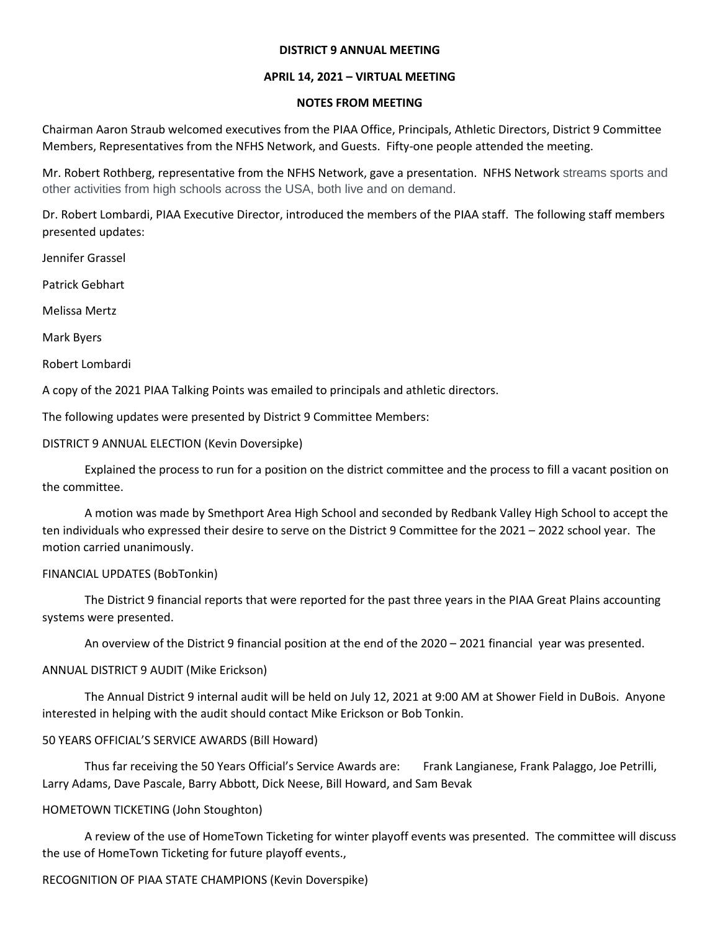#### **DISTRICT 9 ANNUAL MEETING**

# **APRIL 14, 2021 – VIRTUAL MEETING**

# **NOTES FROM MEETING**

Chairman Aaron Straub welcomed executives from the PIAA Office, Principals, Athletic Directors, District 9 Committee Members, Representatives from the NFHS Network, and Guests. Fifty-one people attended the meeting.

Mr. Robert Rothberg, representative from the NFHS Network, gave a presentation. NFHS Network streams sports and other activities from high schools across the USA, both live and on demand.

Dr. Robert Lombardi, PIAA Executive Director, introduced the members of the PIAA staff. The following staff members presented updates:

Jennifer Grassel

Patrick Gebhart

Melissa Mertz

Mark Byers

Robert Lombardi

A copy of the 2021 PIAA Talking Points was emailed to principals and athletic directors.

The following updates were presented by District 9 Committee Members:

DISTRICT 9 ANNUAL ELECTION (Kevin Doversipke)

Explained the process to run for a position on the district committee and the process to fill a vacant position on the committee.

A motion was made by Smethport Area High School and seconded by Redbank Valley High School to accept the ten individuals who expressed their desire to serve on the District 9 Committee for the 2021 – 2022 school year. The motion carried unanimously.

# FINANCIAL UPDATES (BobTonkin)

The District 9 financial reports that were reported for the past three years in the PIAA Great Plains accounting systems were presented.

An overview of the District 9 financial position at the end of the 2020 – 2021 financial year was presented.

# ANNUAL DISTRICT 9 AUDIT (Mike Erickson)

The Annual District 9 internal audit will be held on July 12, 2021 at 9:00 AM at Shower Field in DuBois. Anyone interested in helping with the audit should contact Mike Erickson or Bob Tonkin.

# 50 YEARS OFFICIAL'S SERVICE AWARDS (Bill Howard)

Thus far receiving the 50 Years Official's Service Awards are: Frank Langianese, Frank Palaggo, Joe Petrilli, Larry Adams, Dave Pascale, Barry Abbott, Dick Neese, Bill Howard, and Sam Bevak

# HOMETOWN TICKETING (John Stoughton)

A review of the use of HomeTown Ticketing for winter playoff events was presented. The committee will discuss the use of HomeTown Ticketing for future playoff events.,

# RECOGNITION OF PIAA STATE CHAMPIONS (Kevin Doverspike)